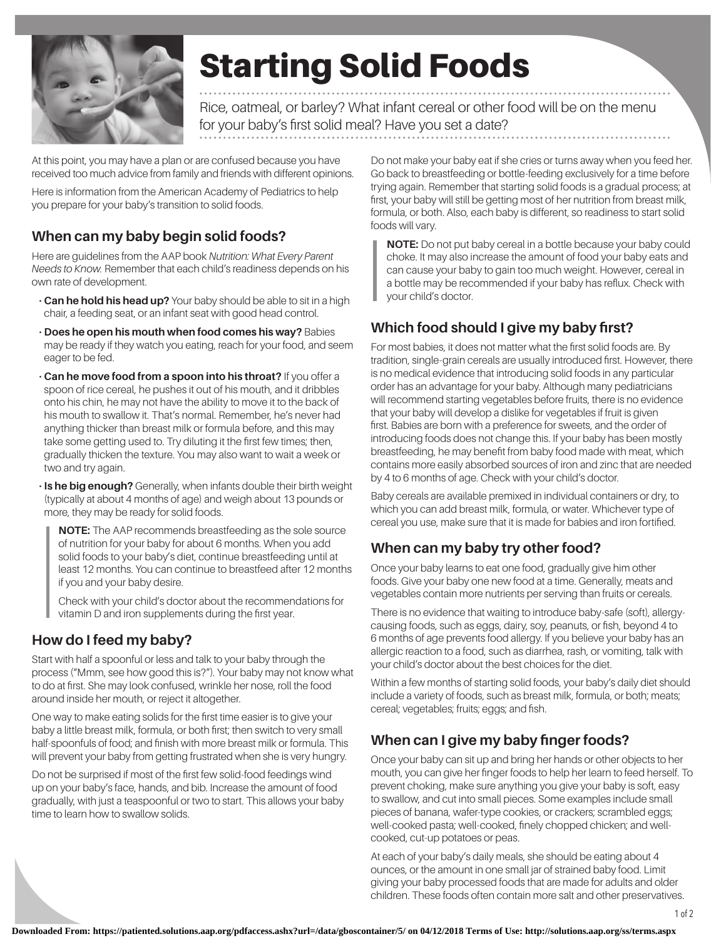

# Starting Solid Foods

Rice, oatmeal, or barley? What infant cereal or other food will be on the menu for your baby's first solid meal? Have you set a date?

At this point, you may have a plan or are confused because you have received too much advice from family and friends with different opinions.

Here is information from the American Academy of Pediatrics to help you prepare for your baby's transition to solid foods.

# **When can my baby begin solid foods?**

Here are guidelines from the AAP book *Nutrition: What Every Parent Needs to Know.* Remember that each child's readiness depends on his own rate of development.

- **Can he hold his head up?** Your baby should be able to sit in a high chair, a feeding seat, or an infant seat with good head control.
- **Does he open his mouth when food comes his way?** Babies may be ready if they watch you eating, reach for your food, and seem eager to be fed.
- **Can he move food from a spoon into his throat?** If you offer a spoon of rice cereal, he pushes it out of his mouth, and it dribbles onto his chin, he may not have the ability to move it to the back of his mouth to swallow it. That's normal. Remember, he's never had anything thicker than breast milk or formula before, and this may take some getting used to. Try diluting it the first few times; then, gradually thicken the texture. You may also want to wait a week or two and try again.
- **Is he big enough?** Generally, when infants double their birth weight (typically at about 4 months of age) and weigh about 13 pounds or more, they may be ready for solid foods.

**NOTE:** The AAP recommends breastfeeding as the sole source of nutrition for your baby for about 6 months. When you add solid foods to your baby's diet, continue breastfeeding until at least 12 months. You can continue to breastfeed after 12 months if you and your baby desire.

Check with your child's doctor about the recommendations for vitamin D and iron supplements during the first year.

# **How do I feed my baby?**

Start with half a spoonful or less and talk to your baby through the process ("Mmm, see how good this is?"). Your baby may not know what to do at first. She may look confused, wrinkle her nose, roll the food around inside her mouth, or reject it altogether.

One way to make eating solids for the first time easier is to give your baby a little breast milk, formula, or both first; then switch to very small half-spoonfuls of food; and finish with more breast milk or formula. This will prevent your baby from getting frustrated when she is very hungry.

Do not be surprised if most of the first few solid-food feedings wind up on your baby's face, hands, and bib. Increase the amount of food gradually, with just a teaspoonful or two to start. This allows your baby time to learn how to swallow solids.

Do not make your baby eat if she cries or turns away when you feed her. Go back to breastfeeding or bottle-feeding exclusively for a time before trying again. Remember that starting solid foods is a gradual process; at first, your baby will still be getting most of her nutrition from breast milk, formula, or both. Also, each baby is different, so readiness to start solid foods will vary.

**NOTE:** Do not put baby cereal in a bottle because your baby could choke. It may also increase the amount of food your baby eats and can cause your baby to gain too much weight. However, cereal in a bottle may be recommended if your baby has reflux. Check with your child's doctor.

# **Which food should I give my baby first?**

For most babies, it does not matter what the first solid foods are. By tradition, single-grain cereals are usually introduced first. However, there is no medical evidence that introducing solid foods in any particular order has an advantage for your baby. Although many pediatricians will recommend starting vegetables before fruits, there is no evidence that your baby will develop a dislike for vegetables if fruit is given first. Babies are born with a preference for sweets, and the order of introducing foods does not change this. If your baby has been mostly breastfeeding, he may benefit from baby food made with meat, which contains more easily absorbed sources of iron and zinc that are needed by 4 to 6 months of age. Check with your child's doctor.

Baby cereals are available premixed in individual containers or dry, to which you can add breast milk, formula, or water. Whichever type of cereal you use, make sure that it is made for babies and iron fortified.

#### **When can my baby try other food?**

Once your baby learns to eat one food, gradually give him other foods. Give your baby one new food at a time. Generally, meats and vegetables contain more nutrients per serving than fruits or cereals.

There is no evidence that waiting to introduce baby-safe (soft), allergycausing foods, such as eggs, dairy, soy, peanuts, or fish, beyond 4 to 6 months of age prevents food allergy. If you believe your baby has an allergic reaction to a food, such as diarrhea, rash, or vomiting, talk with your child's doctor about the best choices for the diet.

Within a few months of starting solid foods, your baby's daily diet should include a variety of foods, such as breast milk, formula, or both; meats; cereal; vegetables; fruits; eggs; and fish.

# **When can I give my baby finger foods?**

Once your baby can sit up and bring her hands or other objects to her mouth, you can give her finger foods to help her learn to feed herself. To prevent choking, make sure anything you give your baby is soft, easy to swallow, and cut into small pieces. Some examples include small pieces of banana, wafer-type cookies, or crackers; scrambled eggs; well-cooked pasta; well-cooked, finely chopped chicken; and wellcooked, cut-up potatoes or peas.

At each of your baby's daily meals, she should be eating about 4 ounces, or the amount in one small jar of strained baby food. Limit giving your baby processed foods that are made for adults and older children. These foods often contain more salt and other preservatives.